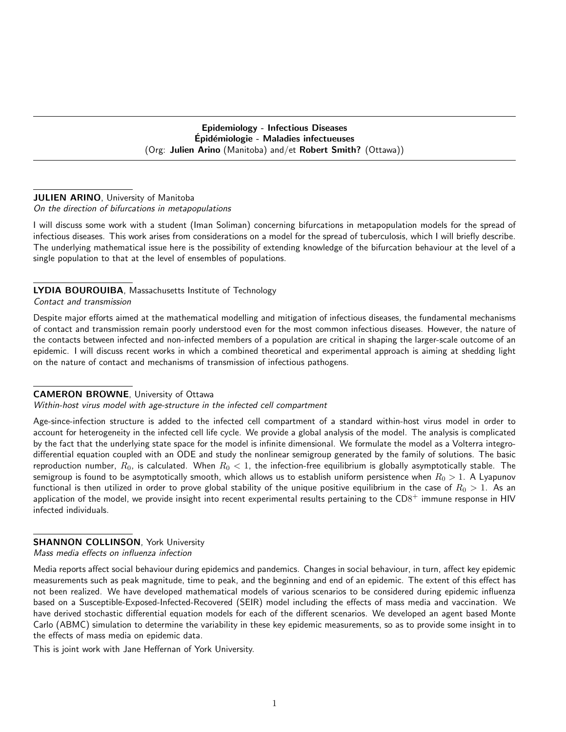Epidemiology - Infectious Diseases Epidémiologie - Maladies infectueuses (Org: Julien Arino (Manitoba) and/et Robert Smith? (Ottawa))

#### **JULIEN ARINO**, University of Manitoba

#### On the direction of bifurcations in metapopulations

I will discuss some work with a student (Iman Soliman) concerning bifurcations in metapopulation models for the spread of infectious diseases. This work arises from considerations on a model for the spread of tuberculosis, which I will briefly describe. The underlying mathematical issue here is the possibility of extending knowledge of the bifurcation behaviour at the level of a single population to that at the level of ensembles of populations.

# LYDIA BOUROUIBA, Massachusetts Institute of Technology

Contact and transmission

Despite major efforts aimed at the mathematical modelling and mitigation of infectious diseases, the fundamental mechanisms of contact and transmission remain poorly understood even for the most common infectious diseases. However, the nature of the contacts between infected and non-infected members of a population are critical in shaping the larger-scale outcome of an epidemic. I will discuss recent works in which a combined theoretical and experimental approach is aiming at shedding light on the nature of contact and mechanisms of transmission of infectious pathogens.

#### CAMERON BROWNE, University of Ottawa

#### Within-host virus model with age-structure in the infected cell compartment

Age-since-infection structure is added to the infected cell compartment of a standard within-host virus model in order to account for heterogeneity in the infected cell life cycle. We provide a global analysis of the model. The analysis is complicated by the fact that the underlying state space for the model is infinite dimensional. We formulate the model as a Volterra integrodifferential equation coupled with an ODE and study the nonlinear semigroup generated by the family of solutions. The basic reproduction number,  $R_0$ , is calculated. When  $R_0 < 1$ , the infection-free equilibrium is globally asymptotically stable. The semigroup is found to be asymptotically smooth, which allows us to establish uniform persistence when  $R_0 > 1$ . A Lyapunov functional is then utilized in order to prove global stability of the unique positive equilibrium in the case of  $R_0 > 1$ . As an application of the model, we provide insight into recent experimental results pertaining to the  $CD8^+$  immune response in HIV infected individuals.

#### **SHANNON COLLINSON, York University**

Mass media effects on influenza infection

Media reports affect social behaviour during epidemics and pandemics. Changes in social behaviour, in turn, affect key epidemic measurements such as peak magnitude, time to peak, and the beginning and end of an epidemic. The extent of this effect has not been realized. We have developed mathematical models of various scenarios to be considered during epidemic influenza based on a Susceptible-Exposed-Infected-Recovered (SEIR) model including the effects of mass media and vaccination. We have derived stochastic differential equation models for each of the different scenarios. We developed an agent based Monte Carlo (ABMC) simulation to determine the variability in these key epidemic measurements, so as to provide some insight in to the effects of mass media on epidemic data.

This is joint work with Jane Heffernan of York University.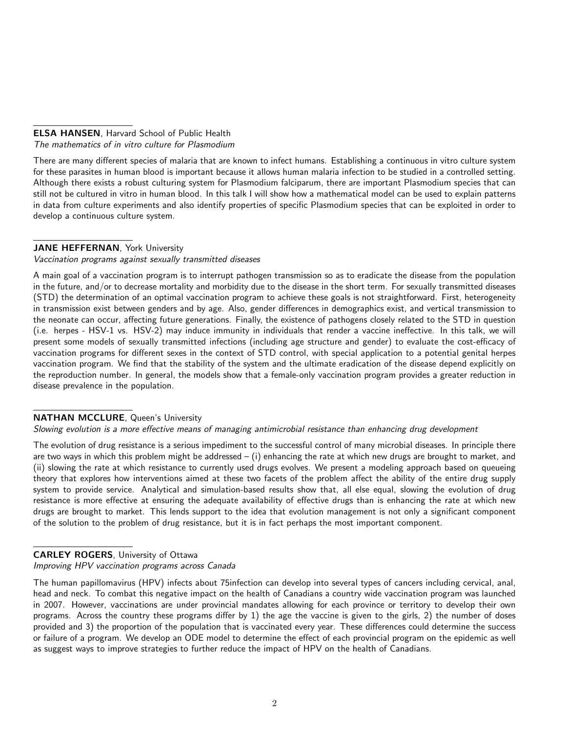## ELSA HANSEN, Harvard School of Public Health The mathematics of in vitro culture for Plasmodium

There are many different species of malaria that are known to infect humans. Establishing a continuous in vitro culture system for these parasites in human blood is important because it allows human malaria infection to be studied in a controlled setting. Although there exists a robust culturing system for Plasmodium falciparum, there are important Plasmodium species that can still not be cultured in vitro in human blood. In this talk I will show how a mathematical model can be used to explain patterns in data from culture experiments and also identify properties of specific Plasmodium species that can be exploited in order to develop a continuous culture system.

# JANE HEFFERNAN, York University

#### Vaccination programs against sexually transmitted diseases

A main goal of a vaccination program is to interrupt pathogen transmission so as to eradicate the disease from the population in the future, and/or to decrease mortality and morbidity due to the disease in the short term. For sexually transmitted diseases (STD) the determination of an optimal vaccination program to achieve these goals is not straightforward. First, heterogeneity in transmission exist between genders and by age. Also, gender differences in demographics exist, and vertical transmission to the neonate can occur, affecting future generations. Finally, the existence of pathogens closely related to the STD in question (i.e. herpes - HSV-1 vs. HSV-2) may induce immunity in individuals that render a vaccine ineffective. In this talk, we will present some models of sexually transmitted infections (including age structure and gender) to evaluate the cost-efficacy of vaccination programs for different sexes in the context of STD control, with special application to a potential genital herpes vaccination program. We find that the stability of the system and the ultimate eradication of the disease depend explicitly on the reproduction number. In general, the models show that a female-only vaccination program provides a greater reduction in disease prevalence in the population.

# NATHAN MCCLURE, Queen's University

#### Slowing evolution is a more effective means of managing antimicrobial resistance than enhancing drug development

The evolution of drug resistance is a serious impediment to the successful control of many microbial diseases. In principle there are two ways in which this problem might be addressed  $-$  (i) enhancing the rate at which new drugs are brought to market, and (ii) slowing the rate at which resistance to currently used drugs evolves. We present a modeling approach based on queueing theory that explores how interventions aimed at these two facets of the problem affect the ability of the entire drug supply system to provide service. Analytical and simulation-based results show that, all else equal, slowing the evolution of drug resistance is more effective at ensuring the adequate availability of effective drugs than is enhancing the rate at which new drugs are brought to market. This lends support to the idea that evolution management is not only a significant component of the solution to the problem of drug resistance, but it is in fact perhaps the most important component.

# CARLEY ROGERS, University of Ottawa

Improving HPV vaccination programs across Canada

The human papillomavirus (HPV) infects about 75infection can develop into several types of cancers including cervical, anal, head and neck. To combat this negative impact on the health of Canadians a country wide vaccination program was launched in 2007. However, vaccinations are under provincial mandates allowing for each province or territory to develop their own programs. Across the country these programs differ by 1) the age the vaccine is given to the girls, 2) the number of doses provided and 3) the proportion of the population that is vaccinated every year. These differences could determine the success or failure of a program. We develop an ODE model to determine the effect of each provincial program on the epidemic as well as suggest ways to improve strategies to further reduce the impact of HPV on the health of Canadians.